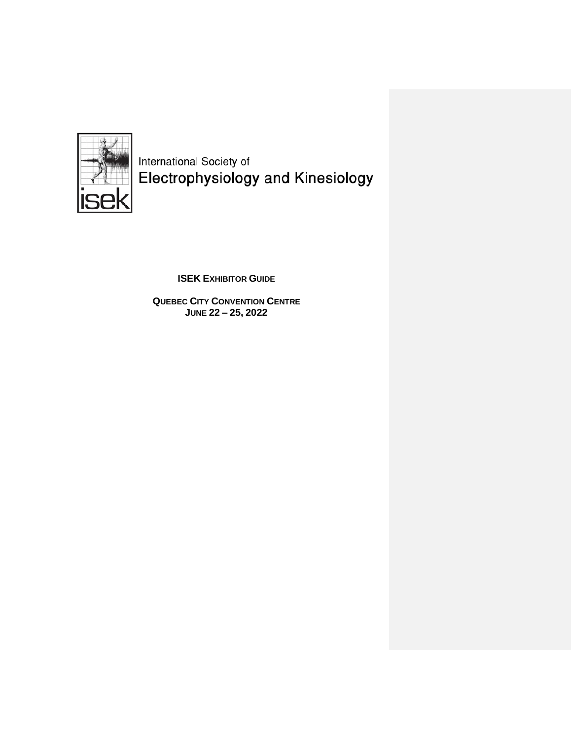

International Society of<br>Electrophysiology and Kinesiology

**ISEK EXHIBITOR GUIDE** 

**QUEBEC CITY CONVENTION CENTRE JUNE 22 – 25, 2022**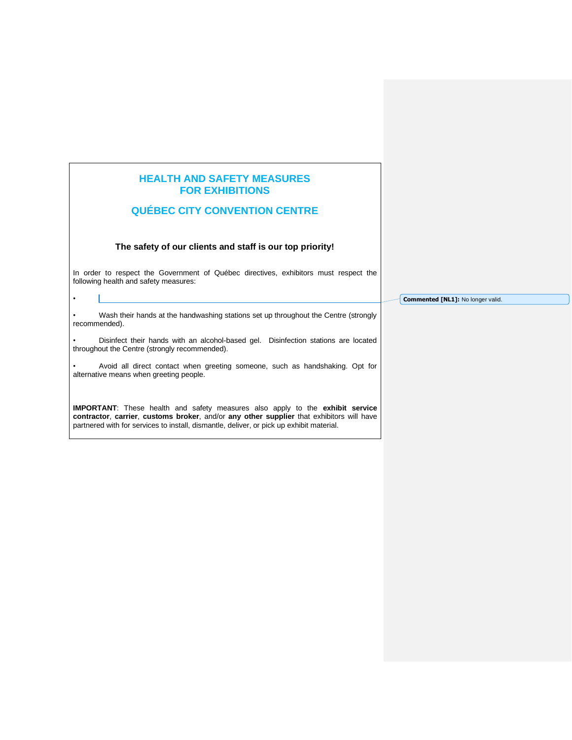# **HEALTH AND SAFETY MEASURES FOR EXHIBITIONS**

# **QUÉBEC CITY CONVENTION CENTRE**

# **The safety of our clients and staff is our top priority!**

In order to respect the Government of Québec directives, exhibitors must respect the following health and safety measures:

**Commented [NL1]:** No longer valid.

• Wash their hands at the handwashing stations set up throughout the Centre (strongly recommended).

•

• Disinfect their hands with an alcohol-based gel. Disinfection stations are located throughout the Centre (strongly recommended).

• Avoid all direct contact when greeting someone, such as handshaking. Opt for alternative means when greeting people.

**IMPORTANT**: These health and safety measures also apply to the **exhibit service contractor**, **carrier**, **customs broker**, and/or **any other supplier** that exhibitors will have partnered with for services to install, dismantle, deliver, or pick up exhibit material.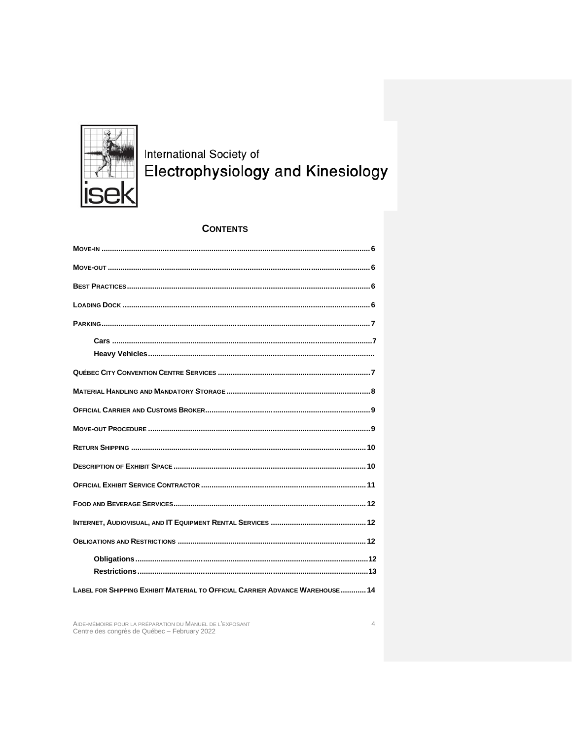

International Society of<br>Electrophysiology and Kinesiology

# **CONTENTS**

| LABEL FOR SHIPPING EXHIBIT MATERIAL TO OFFICIAL CARRIER ADVANCE WAREHOUSE  14 |
|-------------------------------------------------------------------------------|

AIDE-MÉMOIRE POUR LA PRÉPARATION DU MANUEL DE L'EXPOSANT<br>Centre des congrès de Québec - February 2022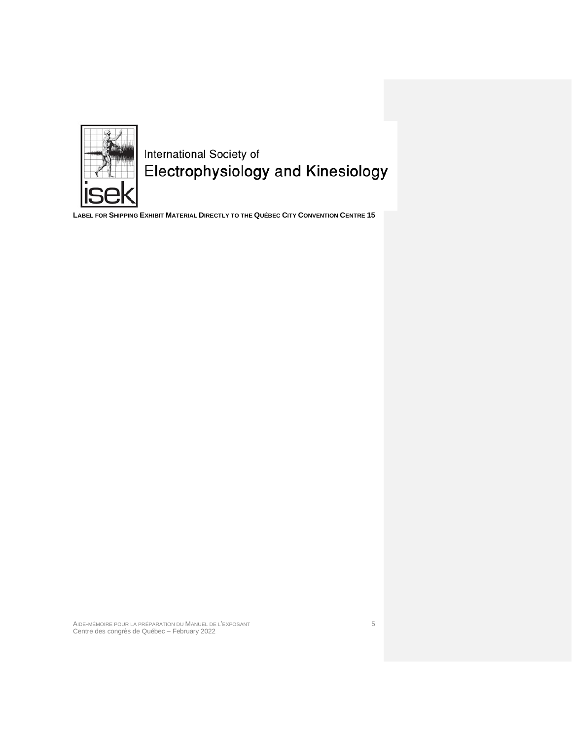

International Society of<br>Electrophysiology and Kinesiology

**LABEL FOR SHIPPING EXHIBIT MATERIAL D[IRECTLY TO THE](#page-13-0) QUÉBEC CITY CONVENTION CENTRE 15**

AIDE-MÉMOIRE POUR LA PRÉPARATION DU MANUEL DE L'EXPOSANT 5 Centre des congrès de Québec – February 2022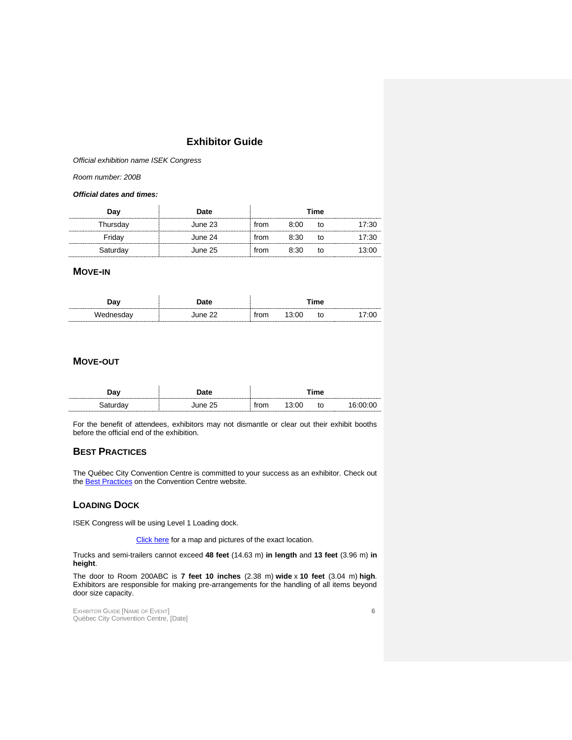# **Exhibitor Guide**

*Official exhibition name ISEK Congress*

*Room number: 200B*

#### *Official dates and times:*

| Dav      | ∩ate    | Time |      |    |  |
|----------|---------|------|------|----|--|
| ⊺hursdav | June 23 | rom  | 8:00 | tΩ |  |
|          | June 24 | †r∩m | 8:30 | tΟ |  |
|          | June 25 | rom  | 8.30 | tΟ |  |

## <span id="page-4-0"></span>**MOVE-IN**

| Dav               | ำate               | ™e⊓                             |      |    |      |
|-------------------|--------------------|---------------------------------|------|----|------|
| ----------------- | une 22<br><br><br> | vu<br>---------------------<br> | 3:00 | to | ′:00 |

# <span id="page-4-1"></span>**MOVE-OUT**

| าวง<br>----------------- | <b>Pate</b><br>--------------<br>------------<br>------------<br> | ™e<br>.<br><br> |      |    |  |
|--------------------------|-------------------------------------------------------------------|-----------------|------|----|--|
|                          | June 25                                                           | from            | 3:00 | to |  |

For the benefit of attendees, exhibitors may not dismantle or clear out their exhibit booths before the official end of the exhibition.

## <span id="page-4-2"></span>**BEST PRACTICES**

The Québec City Convention Centre is committed to your success as an exhibitor. Check out the **[Best Practices](https://www.convention.qc.ca/en/exhibitors/best-practices/)** on the Convention Centre website.

## <span id="page-4-3"></span>**LOADING DOCK**

ISEK Congress will be using Level 1 Loading dock.

[Click here](https://www.google.ca/maps/place/875+Rue+Saint-Joachim,+Qu%C3%A9bec,+QC+G1R+1X1/@46.8108048,-71.2185663,17z/data=!3m1!4b1!4m5!3m4!1s0x4cb896762876b14f:0x8afd6383f0968a12!8m2!3d46.8107577!4d-71.2166678?hl=fr) for a map and pictures of the exact location.

Trucks and semi-trailers cannot exceed **48 feet** (14.63 m) **in length** and **13 feet** (3.96 m) **in height**.

The door to Room 200ABC is **7 feet 10 inches** (2.38 m) **wide** x **10 feet** (3.04 m) **high**. Exhibitors are responsible for making pre-arrangements for the handling of all items beyond door size capacity.

EXHIBITOR GUIDE [NAME OF EVENT] **6** Québec City Convention Centre, [Date]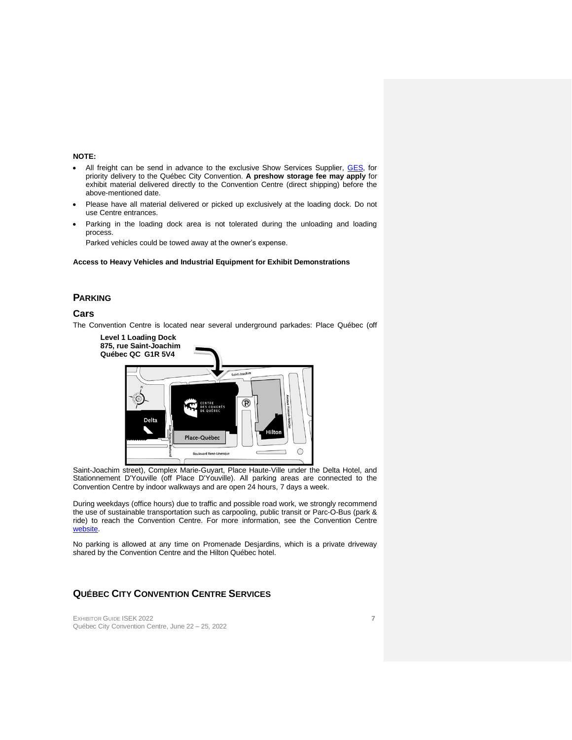#### **NOTE:**

- All freight can be send in advance to the exclusive Show Services Supplier, [GES,](https://ordering.ges.com/CA-00060928) for priority delivery to the Québec City Convention. **A preshow storage fee may apply** for exhibit material delivered directly to the Convention Centre (direct shipping) before the above-mentioned date.
- Please have all material delivered or picked up exclusively at the loading dock. Do not use Centre entrances.
- Parking in the loading dock area is not tolerated during the unloading and loading process.

Parked vehicles could be towed away at the owner's expense.

#### **Access to Heavy Vehicles and Industrial Equipment for Exhibit Demonstrations**

## <span id="page-5-0"></span>**PARKING**

### <span id="page-5-1"></span>**Cars**

The Convention Centre is located near several underground parkades: Place Québec (off



Saint-Joachim street), Complex Marie-Guyart, Place Haute-Ville under the Delta Hotel, and Stationnement D'Youville (off Place D'Youville). All parking areas are connected to the Convention Centre by indoor walkways and are open 24 hours, 7 days a week.

During weekdays (office hours) due to traffic and possible road work, we strongly recommend the use of sustainable transportation such as carpooling, public transit or Parc-O-Bus (park & ride) to reach the Convention Centre. For more information, see the Convention Centre [website.](https://www.convention.qc.ca/en/practical-information/)

No parking is allowed at any time on Promenade Desjardins, which is a private driveway shared by the Convention Centre and the Hilton Québec hotel.

# <span id="page-5-2"></span>**QUÉBEC CITY CONVENTION CENTRE SERVICES**

EXHIBITOR GUIDE ISEK 2022 **7** Québec City Convention Centre, June 22 – 25, 2022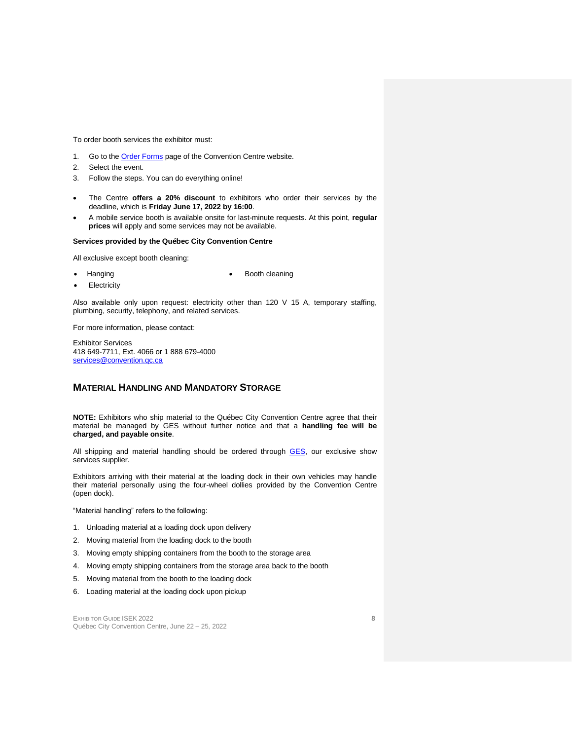To order booth services the exhibitor must:

- 1. Go to the **Order Forms** page of the Convention Centre website.
- 2. Select the event.
- 3. Follow the steps. You can do everything online!
- The Centre **offers a 20% discount** to exhibitors who order their services by the deadline, which is **Friday June 17, 2022 by 16:00**.
- A mobile service booth is available onsite for last-minute requests. At this point, **regular prices** will apply and some services may not be available.

#### **Services provided by the Québec City Convention Centre**

All exclusive except booth cleaning:

• Hanging

• Booth cleaning

**Electricity** 

Also available only upon request: electricity other than 120 V 15 A, temporary staffing, plumbing, security, telephony, and related services.

For more information, please contact:

Exhibitor Services 418 649-7711, Ext. 4066 or 1 888 679-4000 [services@convention.qc.ca](mailto:services@convention.qc.ca)

### <span id="page-6-0"></span>**MATERIAL HANDLING AND MANDATORY STORAGE**

**NOTE:** Exhibitors who ship material to the Québec City Convention Centre agree that their material be managed by GES without further notice and that a **handling fee will be charged, and payable onsite**.

All shipping and material handling should be ordered through [GES,](https://ordering.ges.com/CA-00060928) our exclusive show services supplier.

Exhibitors arriving with their material at the loading dock in their own vehicles may handle their material personally using the four-wheel dollies provided by the Convention Centre (open dock).

"Material handling" refers to the following:

- 1. Unloading material at a loading dock upon delivery
- 2. Moving material from the loading dock to the booth
- 3. Moving empty shipping containers from the booth to the storage area
- 4. Moving empty shipping containers from the storage area back to the booth
- 5. Moving material from the booth to the loading dock
- 6. Loading material at the loading dock upon pickup

EXHIBITOR GUIDE ISEK 2022 **8** Québec City Convention Centre, June 22 – 25, 2022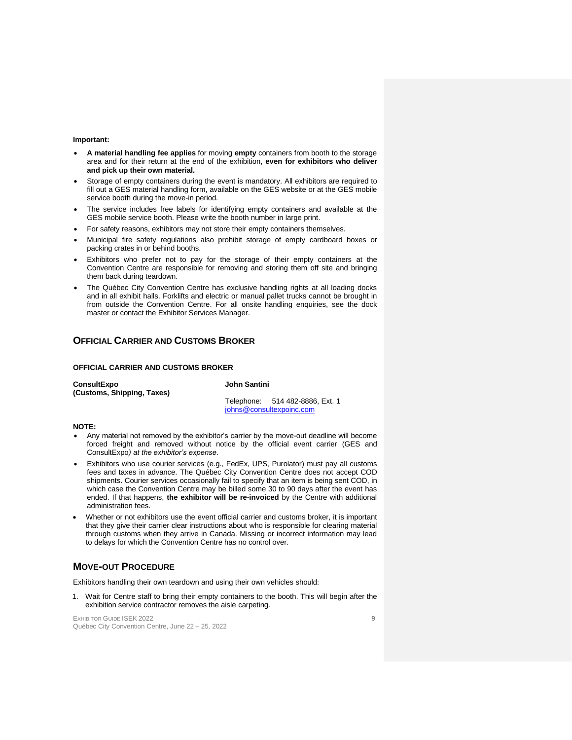#### **Important:**

- **A material handling fee applies** for moving **empty** containers from booth to the storage area and for their return at the end of the exhibition, **even for exhibitors who deliver and pick up their own material.**
- Storage of empty containers during the event is mandatory. All exhibitors are required to fill out a GES material handling form, available on the GES website or at the GES mobile service booth during the move-in period.
- The service includes free labels for identifying empty containers and available at the GES mobile service booth. Please write the booth number in large print.
- For safety reasons, exhibitors may not store their empty containers themselves.
- Municipal fire safety regulations also prohibit storage of empty cardboard boxes or packing crates in or behind booths.
- Exhibitors who prefer not to pay for the storage of their empty containers at the Convention Centre are responsible for removing and storing them off site and bringing them back during teardown.
- The Québec City Convention Centre has exclusive handling rights at all loading docks and in all exhibit halls. Forklifts and electric or manual pallet trucks cannot be brought in from outside the Convention Centre. For all onsite handling enquiries, see the dock master or contact the Exhibitor Services Manager.

## <span id="page-7-0"></span>**OFFICIAL CARRIER AND CUSTOMS BROKER**

#### **OFFICIAL CARRIER AND CUSTOMS BROKER**

| <b>ConsultExpo</b>         |  |
|----------------------------|--|
| (Customs, Shipping, Taxes) |  |

**John Santini**

Telephone: 514 482-8886, Ext. 1 [johns@consultexpoinc.com](mailto:dianel@consultexpoinc.com)

#### **NOTE:**

- Any material not removed by the exhibitor's carrier by the move-out deadline will become forced freight and removed without notice by the official event carrier (GES and ConsultExpo*) at the exhibitor's expense*.
- Exhibitors who use courier services (e.g., FedEx, UPS, Purolator) must pay all customs fees and taxes in advance. The Québec City Convention Centre does not accept COD shipments. Courier services occasionally fail to specify that an item is being sent COD, in which case the Convention Centre may be billed some 30 to 90 days after the event has ended. If that happens, **the exhibitor will be re-invoiced** by the Centre with additional administration fees.
- Whether or not exhibitors use the event official carrier and customs broker, it is important that they give their carrier clear instructions about who is responsible for clearing material through customs when they arrive in Canada. Missing or incorrect information may lead to delays for which the Convention Centre has no control over.

## <span id="page-7-1"></span>**MOVE-OUT PROCEDURE**

Exhibitors handling their own teardown and using their own vehicles should:

1. Wait for Centre staff to bring their empty containers to the booth. This will begin after the exhibition service contractor removes the aisle carpeting.

EXHIBITOR GUIDE ISEK 2022 **9** Québec City Convention Centre, June 22 – 25, 2022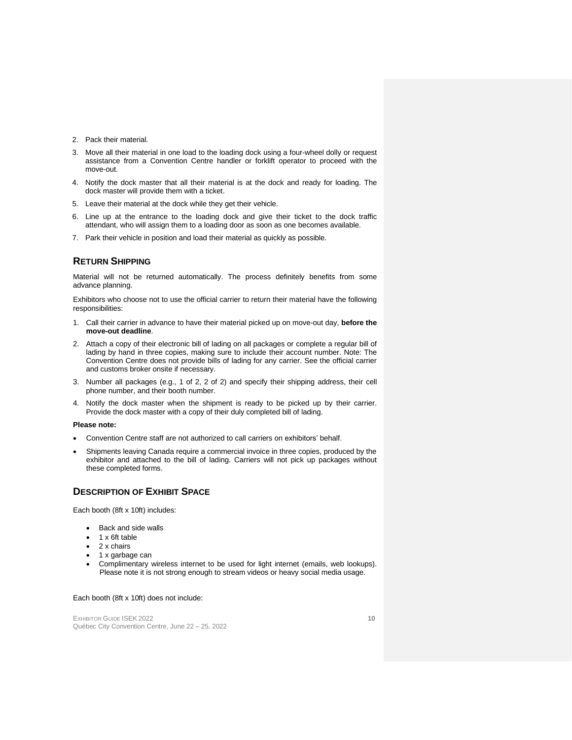- 2. Pack their material.
- 3. Move all their material in one load to the loading dock using a four-wheel dolly or request assistance from a Convention Centre handler or forklift operator to proceed with the move-out.
- 4. Notify the dock master that all their material is at the dock and ready for loading. The dock master will provide them with a ticket.
- 5. Leave their material at the dock while they get their vehicle.
- 6. Line up at the entrance to the loading dock and give their ticket to the dock traffic attendant, who will assign them to a loading door as soon as one becomes available.
- 7. Park their vehicle in position and load their material as quickly as possible.

#### <span id="page-8-0"></span>**RETURN SHIPPING**

Material will not be returned automatically. The process definitely benefits from some advance planning.

Exhibitors who choose not to use the official carrier to return their material have the following responsibilities:

- 1. Call their carrier in advance to have their material picked up on move-out day, **before the move-out deadline**.
- 2. Attach a copy of their electronic bill of lading on all packages or complete a regular bill of lading by hand in three copies, making sure to include their account number. Note: The Convention Centre does not provide bills of lading for any carrier. See the official carrier and customs broker onsite if necessary.
- 3. Number all packages (e.g., 1 of 2, 2 of 2) and specify their shipping address, their cell phone number, and their booth number.
- 4. Notify the dock master when the shipment is ready to be picked up by their carrier. Provide the dock master with a copy of their duly completed bill of lading.

#### **Please note:**

- Convention Centre staff are not authorized to call carriers on exhibitors' behalf.
- Shipments leaving Canada require a commercial invoice in three copies, produced by the exhibitor and attached to the bill of lading. Carriers will not pick up packages without these completed forms.

### <span id="page-8-1"></span>**DESCRIPTION OF EXHIBIT SPACE**

Each booth (8ft x 10ft) includes:

- Back and side walls
- 1 x 6ft table
- 2 x chairs
- 1 x garbage can
- Complimentary wireless internet to be used for light internet (emails, web lookups). Please note it is not strong enough to stream videos or heavy social media usage.

#### Each booth (8ft x 10ft) does not include:

EXHIBITOR GUIDE ISEK 2022 **10** Québec City Convention Centre, June 22 – 25, 2022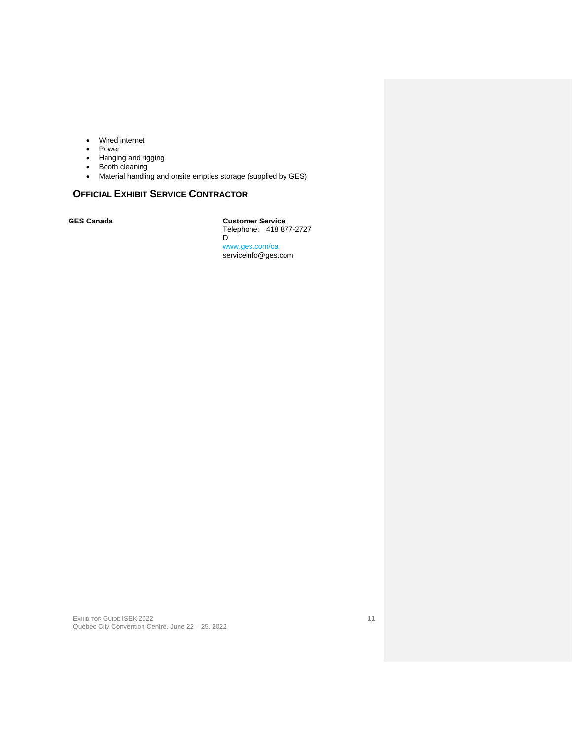- Wired internet
- Power
- Hanging and rigging
- Booth cleaning
- Material handling and onsite empties storage (supplied by GES)

# <span id="page-9-0"></span>**OFFICIAL EXHIBIT SERVICE CONTRACTOR**

**GES Canada Customer Service** Telephone: 418 877-2727  $\overline{D}$ [www.ges.com/ca](http://www.ges.com/ca) serviceinfo@ges.com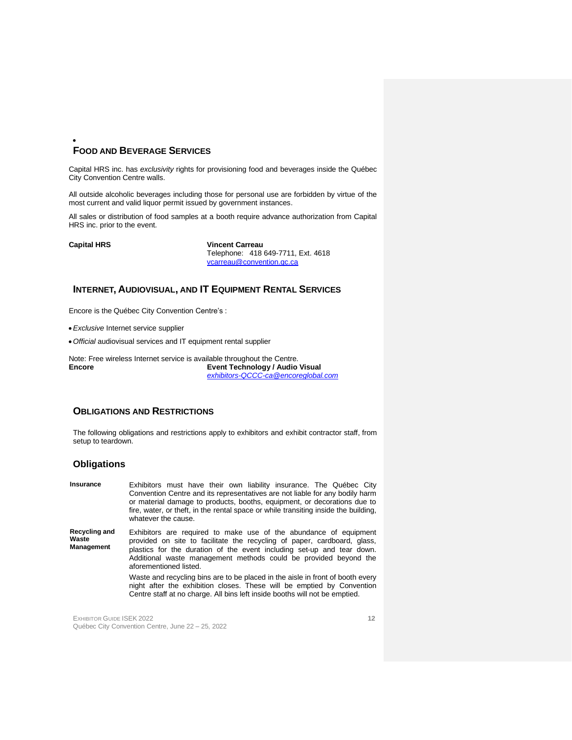#### <span id="page-10-0"></span>• **FOOD AND BEVERAGE SERVICES**

Capital HRS inc. has *exclusivity* rights for provisioning food and beverages inside the Québec City Convention Centre walls.

All outside alcoholic beverages including those for personal use are forbidden by virtue of the most current and valid liquor permit issued by government instances.

All sales or distribution of food samples at a booth require advance authorization from Capital HRS inc. prior to the event.

**Capital HRS Vincent Carreau**

Telephone: 418 649-7711, Ext. 4618 [vcarreau@convention.qc.ca](mailto:vcarreau@convention.qc.ca)

# <span id="page-10-1"></span>**INTERNET, AUDIOVISUAL, AND IT EQUIPMENT RENTAL SERVICES**

Encore is the Québec City Convention Centre's :

- •*Exclusive* Internet service supplier
- *Official* audiovisual services and IT equipment rental supplier

Note: Free wireless Internet service is available throughout the Centre.<br> **Event Technology / Audio Encore Event Technology / Audio Visual** *[exhibitors-QCCC-ca@encoreglobal.com](mailto:exhibitors-QCCC-ca@encoreglobal.com)*

## <span id="page-10-2"></span>**OBLIGATIONS AND RESTRICTIONS**

The following obligations and restrictions apply to exhibitors and exhibit contractor staff, from setup to teardown.

## <span id="page-10-3"></span>**Obligations**

| Insurance                            | Exhibitors must have their own liability insurance. The Québec City<br>Convention Centre and its representatives are not liable for any bodily harm<br>or material damage to products, booths, equipment, or decorations due to<br>fire, water, or theft, in the rental space or while transiting inside the building,<br>whatever the cause. |
|--------------------------------------|-----------------------------------------------------------------------------------------------------------------------------------------------------------------------------------------------------------------------------------------------------------------------------------------------------------------------------------------------|
| Recycling and<br>Waste<br>Management | Exhibitors are required to make use of the abundance of equipment<br>provided on site to facilitate the recycling of paper, cardboard, glass,<br>plastics for the duration of the event including set-up and tear down.<br>Additional waste management methods could be provided beyond the<br>aforementioned listed.                         |
|                                      | Waste and recycling bins are to be placed in the aisle in front of booth every<br>night after the exhibition closes. These will be emptied by Convention<br>Centre staff at no charge. All bins left inside booths will not be emptied.                                                                                                       |

EXHIBITOR GUIDE ISEK 2022 **12** Québec City Convention Centre, June 22 – 25, 2022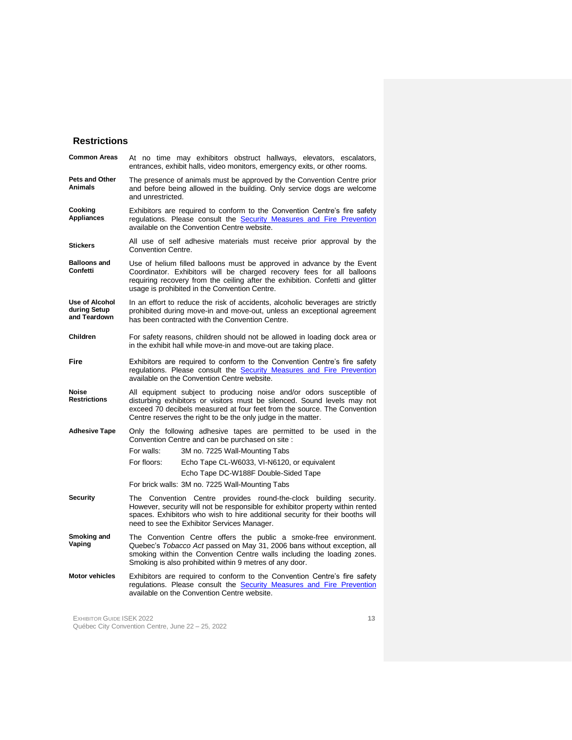## <span id="page-11-0"></span>**Restrictions**

| <b>Common Areas</b>                                   | At no time may exhibitors obstruct hallways, elevators, escalators,<br>entrances, exhibit halls, video monitors, emergency exits, or other rooms.                                                                                                                                                                              |
|-------------------------------------------------------|--------------------------------------------------------------------------------------------------------------------------------------------------------------------------------------------------------------------------------------------------------------------------------------------------------------------------------|
| Pets and Other<br>Animals                             | The presence of animals must be approved by the Convention Centre prior<br>and before being allowed in the building. Only service dogs are welcome<br>and unrestricted.                                                                                                                                                        |
| Cooking<br>Appliances                                 | Exhibitors are required to conform to the Convention Centre's fire safety<br>regulations. Please consult the Security Measures and Fire Prevention<br>available on the Convention Centre website.                                                                                                                              |
| <b>Stickers</b>                                       | All use of self adhesive materials must receive prior approval by the<br><b>Convention Centre.</b>                                                                                                                                                                                                                             |
| <b>Balloons and</b><br>Confetti                       | Use of helium filled balloons must be approved in advance by the Event<br>Coordinator. Exhibitors will be charged recovery fees for all balloons<br>requiring recovery from the ceiling after the exhibition. Confetti and glitter<br>usage is prohibited in the Convention Centre.                                            |
| <b>Use of Alcohol</b><br>during Setup<br>and Teardown | In an effort to reduce the risk of accidents, alcoholic beverages are strictly<br>prohibited during move-in and move-out, unless an exceptional agreement<br>has been contracted with the Convention Centre.                                                                                                                   |
| <b>Children</b>                                       | For safety reasons, children should not be allowed in loading dock area or<br>in the exhibit hall while move-in and move-out are taking place.                                                                                                                                                                                 |
| Fire                                                  | Exhibitors are required to conform to the Convention Centre's fire safety<br>regulations. Please consult the Security Measures and Fire Prevention<br>available on the Convention Centre website.                                                                                                                              |
| Noise<br>Restrictions                                 | All equipment subject to producing noise and/or odors susceptible of<br>disturbing exhibitors or visitors must be silenced. Sound levels may not<br>exceed 70 decibels measured at four feet from the source. The Convention<br>Centre reserves the right to be the only judge in the matter.                                  |
| <b>Adhesive Tape</b>                                  | Only the following adhesive tapes are permitted to be used in the<br>Convention Centre and can be purchased on site :<br>For walls:<br>3M no. 7225 Wall-Mounting Tabs<br>For floors:<br>Echo Tape CL-W6033, VI-N6120, or equivalent<br>Echo Tape DC-W188F Double-Sided Tape<br>For brick walls: 3M no. 7225 Wall-Mounting Tabs |
| Security                                              | The Convention Centre provides round-the-clock building security.<br>However, security will not be responsible for exhibitor property within rented<br>spaces. Exhibitors who wish to hire additional security for their booths will<br>need to see the Exhibitor Services Manager.                                            |
| Smoking and<br>Vaping                                 | The Convention Centre offers the public a smoke-free environment.<br>Quebec's Tobacco Act passed on May 31, 2006 bans without exception, all<br>smoking within the Convention Centre walls including the loading zones.<br>Smoking is also prohibited within 9 metres of any door.                                             |
| <b>Motor vehicles</b>                                 | Exhibitors are required to conform to the Convention Centre's fire safety<br>regulations. Please consult the <b>Security Measures and Fire Prevention</b><br>available on the Convention Centre website.                                                                                                                       |

EXHIBITOR GUIDE ISEK 2022 **13** Québec City Convention Centre, June 22 – 25, 2022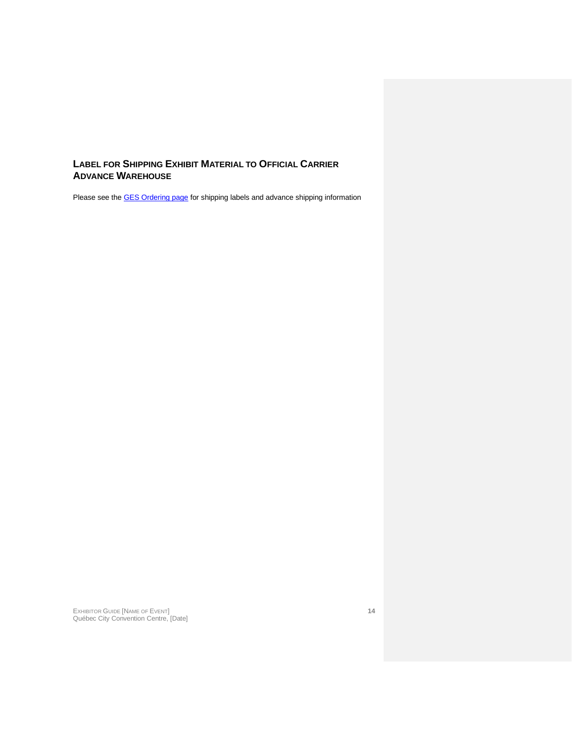# <span id="page-12-0"></span>**LABEL FOR SHIPPING EXHIBIT MATERIAL TO OFFICIAL CARRIER ADVANCE WAREHOUSE**

Please see the **GES Ordering page** for shipping labels and advance shipping information

EXHIBITOR GUIDE [NAME OF EVENT] **14** Québec City Convention Centre, [Date]